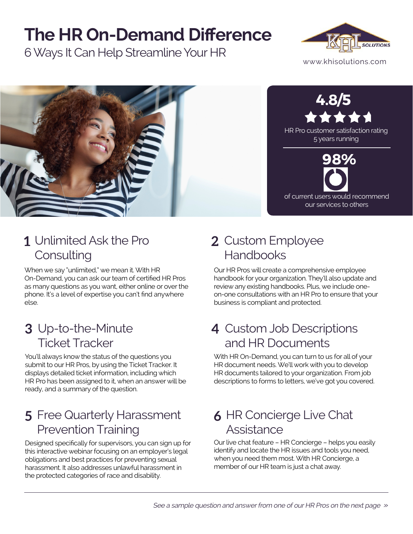## **The HR On-Demand Difference**

6 Ways It Can Help Streamline Your HR





### Unlimited Ask the Pro **1 2 Consulting**

When we say "unlimited," we mean it. With HR On-Demand, you can ask our team of certified HR Pros as many questions as you want, either online or over the phone. It's a level of expertise you can't find anywhere else.

#### Up-to-the-Minute **3 4** Ticket Tracker

You'll always know the status of the questions you submit to our HR Pros, by using the Ticket Tracker. It displays detailed ticket information, including which HR Pro has been assigned to it, when an answer will be ready, and a summary of the question.

#### Free Quarterly Harassment **5 6** Prevention Training

Designed specifically for supervisors, you can sign up for this interactive webinar focusing on an employer's legal obligations and best practices for preventing sexual harassment. It also addresses unlawful harassment in the protected categories of race and disability.

### 2 Custom Employee Handbooks

Our HR Pros will create a comprehensive employee handbook for your organization. They'll also update and review any existing handbooks. Plus, we include oneon-one consultations with an HR Pro to ensure that your business is compliant and protected.

#### 4 Custom Job Descriptions and HR Documents

With HR On-Demand, you can turn to us for all of your HR document needs. We'll work with you to develop HR documents tailored to your organization. From job descriptions to forms to letters, we've got you covered.

#### **6 HR Concierge Live Chat Assistance**

Our live chat feature – HR Concierge – helps you easily identify and locate the HR issues and tools you need, when you need them most. With HR Concierge, a member of our HR team is just a chat away.